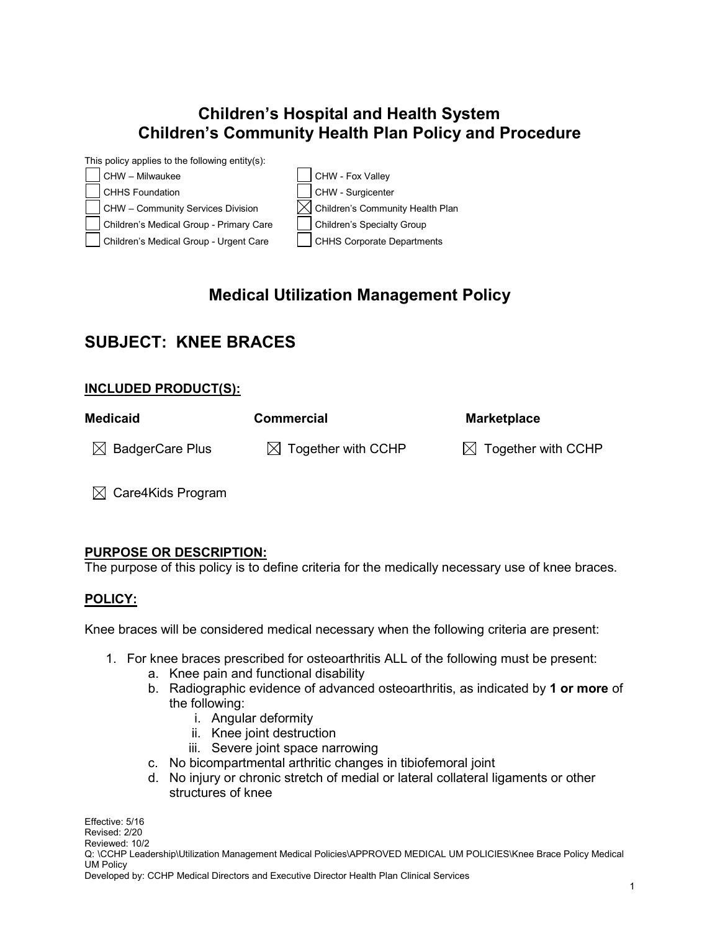## **Children's Hospital and Health System Children's Community Health Plan Policy and Procedure**



# **Medical Utilization Management Policy**

## **SUBJECT: KNEE BRACES**

#### **INCLUDED PRODUCT(S):**

| Medicaid                    | <b>Commercial</b>              | <b>Marketplace</b>             |
|-----------------------------|--------------------------------|--------------------------------|
| $\boxtimes$ BadgerCare Plus | $\boxtimes$ Together with CCHP | $\boxtimes$ Together with CCHP |

 $\boxtimes$  Care4Kids Program

### **PURPOSE OR DESCRIPTION:**

The purpose of this policy is to define criteria for the medically necessary use of knee braces.

#### **POLICY:**

Knee braces will be considered medical necessary when the following criteria are present:

- 1. For knee braces prescribed for osteoarthritis ALL of the following must be present:
	- a. Knee pain and functional disability
	- b. Radiographic evidence of advanced osteoarthritis, as indicated by **1 or more** of the following:
		- i. Angular deformity
		- ii. Knee joint destruction
		- iii. Severe joint space narrowing
	- c. No bicompartmental arthritic changes in tibiofemoral joint
	- d. No injury or chronic stretch of medial or lateral collateral ligaments or other structures of knee

Effective: 5/16 Revised: 2/20 Reviewed: 10/2 Q: \CCHP Leadership\Utilization Management Medical Policies\APPROVED MEDICAL UM POLICIES\Knee Brace Policy Medical UM Policy Developed by: CCHP Medical Directors and Executive Director Health Plan Clinical Services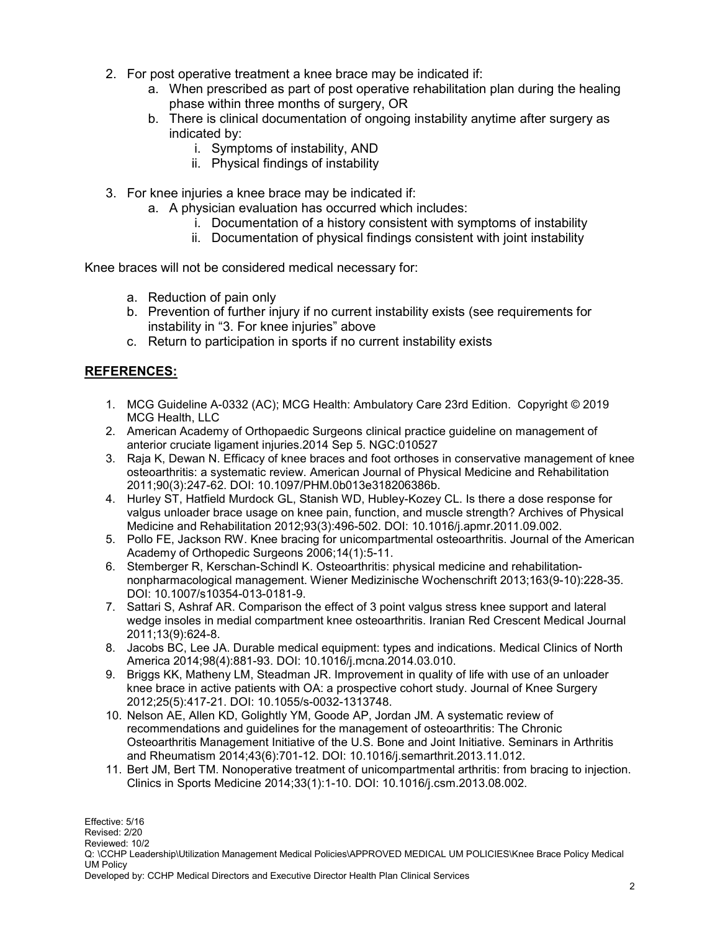- 2. For post operative treatment a knee brace may be indicated if:
	- a. When prescribed as part of post operative rehabilitation plan during the healing phase within three months of surgery, OR
	- b. There is clinical documentation of ongoing instability anytime after surgery as indicated by:
		- i. Symptoms of instability, AND
		- ii. Physical findings of instability
- 3. For knee injuries a knee brace may be indicated if:
	- a. A physician evaluation has occurred which includes:
		- i. Documentation of a history consistent with symptoms of instability
		- ii. Documentation of physical findings consistent with joint instability

Knee braces will not be considered medical necessary for:

- a. Reduction of pain only
- b. Prevention of further injury if no current instability exists (see requirements for instability in "3. For knee injuries" above
- c. Return to participation in sports if no current instability exists

#### **REFERENCES:**

- 1. MCG Guideline A-0332 (AC); MCG Health: Ambulatory Care 23rd Edition. Copyright © 2019 MCG Health, LLC
- 2. American Academy of Orthopaedic Surgeons clinical practice guideline on management of anterior cruciate ligament injuries.2014 Sep 5. NGC:010527
- 3. Raja K, Dewan N. Efficacy of knee braces and foot orthoses in conservative management of knee osteoarthritis: a systematic review. American Journal of Physical Medicine and Rehabilitation 2011;90(3):247-62. DOI: 10.1097/PHM.0b013e318206386b.
- 4. Hurley ST, Hatfield Murdock GL, Stanish WD, Hubley-Kozey CL. Is there a dose response for valgus unloader brace usage on knee pain, function, and muscle strength? Archives of Physical Medicine and Rehabilitation 2012;93(3):496-502. DOI: 10.1016/j.apmr.2011.09.002.
- 5. Pollo FE, Jackson RW. Knee bracing for unicompartmental osteoarthritis. Journal of the American Academy of Orthopedic Surgeons 2006;14(1):5-11.
- 6. Stemberger R, Kerschan-Schindl K. Osteoarthritis: physical medicine and rehabilitationnonpharmacological management. Wiener Medizinische Wochenschrift 2013;163(9-10):228-35. DOI: 10.1007/s10354-013-0181-9.
- 7. Sattari S, Ashraf AR. Comparison the effect of 3 point valgus stress knee support and lateral wedge insoles in medial compartment knee osteoarthritis. Iranian Red Crescent Medical Journal 2011;13(9):624-8.
- 8. Jacobs BC, Lee JA. Durable medical equipment: types and indications. Medical Clinics of North America 2014;98(4):881-93. DOI: 10.1016/j.mcna.2014.03.010.
- 9. Briggs KK, Matheny LM, Steadman JR. Improvement in quality of life with use of an unloader knee brace in active patients with OA: a prospective cohort study. Journal of Knee Surgery 2012;25(5):417-21. DOI: 10.1055/s-0032-1313748.
- 10. Nelson AE, Allen KD, Golightly YM, Goode AP, Jordan JM. A systematic review of recommendations and guidelines for the management of osteoarthritis: The Chronic Osteoarthritis Management Initiative of the U.S. Bone and Joint Initiative. Seminars in Arthritis and Rheumatism 2014;43(6):701-12. DOI: 10.1016/j.semarthrit.2013.11.012.
- 11. Bert JM, Bert TM. Nonoperative treatment of unicompartmental arthritis: from bracing to injection. Clinics in Sports Medicine 2014;33(1):1-10. DOI: 10.1016/j.csm.2013.08.002.

Effective: 5/16 Revised: 2/20 Reviewed: 10/2 Q: \CCHP Leadership\Utilization Management Medical Policies\APPROVED MEDICAL UM POLICIES\Knee Brace Policy Medical UM Policy

Developed by: CCHP Medical Directors and Executive Director Health Plan Clinical Services